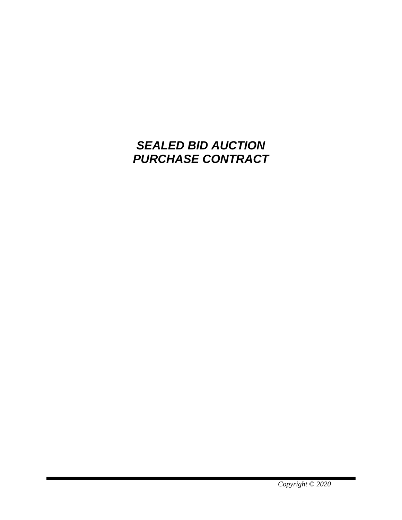# *SEALED BID AUCTION PURCHASE CONTRACT*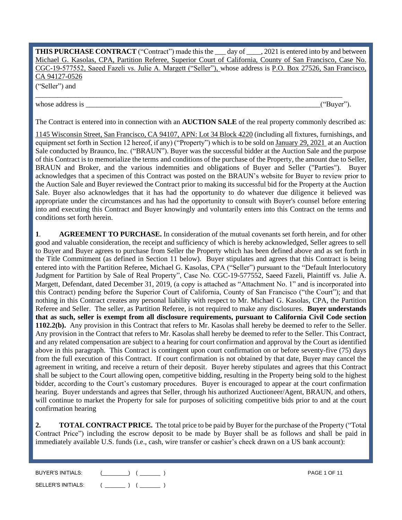**THIS PURCHASE CONTRACT** ("Contract") made this the \_\_\_ day of \_\_\_\_, 2021 is entered into by and between Michael G. Kasolas, CPA, Partition Referee, Superior Court of California, County of San Francisco, Case No. CGC-19-577552, Saeed Fazeli vs. Julie A. Margett ("Seller"), whose address is P.O. Box 27526, San Francisco, CA 94127-0526 ("Seller") and

whose address is  $($ "Buyer").

The Contract is entered into in connection with an **AUCTION SALE** of the real property commonly described as:

\_\_\_\_\_\_\_\_\_\_\_\_\_\_\_\_\_\_\_\_\_\_\_\_\_\_\_\_\_\_\_\_\_\_\_\_\_\_\_\_\_\_\_\_\_\_\_\_\_\_\_\_\_\_\_\_\_\_\_\_\_\_\_\_\_\_\_\_\_\_\_\_\_\_\_\_\_\_\_\_\_\_\_\_\_

1145 Wisconsin Street, San Francisco, CA 94107, APN: Lot 34 Block 4220 (including all fixtures, furnishings, and equipment set forth in Section 12 hereof, if any) ("Property") which is to be sold on <u>January 29, 2021</u> at an Auction Sale conducted by Braunco, Inc. ("BRAUN"). Buyer was the successful bidder at the Auction Sale and the purpose of this Contract is to memorialize the terms and conditions of the purchase of the Property, the amount due to Seller, BRAUN and Broker, and the various indemnities and obligations of Buyer and Seller ("Parties"). Buyer acknowledges that a specimen of this Contract was posted on the BRAUN's website for Buyer to review prior to the Auction Sale and Buyer reviewed the Contract prior to making its successful bid for the Property at the Auction Sale. Buyer also acknowledges that it has had the opportunity to do whatever due diligence it believed was appropriate under the circumstances and has had the opportunity to consult with Buyer's counsel before entering into and executing this Contract and Buyer knowingly and voluntarily enters into this Contract on the terms and conditions set forth herein.

**1**. **AGREEMENT TO PURCHASE.** In consideration of the mutual covenants set forth herein, and for other good and valuable consideration, the receipt and sufficiency of which is hereby acknowledged, Seller agrees to sell to Buyer and Buyer agrees to purchase from Seller the Property which has been defined above and as set forth in the Title Commitment (as defined in Section 11 below). Buyer stipulates and agrees that this Contract is being entered into with the Partition Referee, Michael G. Kasolas, CPA ("Seller") pursuant to the "Default Interlocutory Judgment for Partition by Sale of Real Property", Case No. CGC-19-577552, Saeed Fazeli, Plaintiff vs. Julie A. Margett, Defendant, dated December 31, 2019, (a copy is attached as "Attachment No. 1" and is incorporated into this Contract) pending before the Superior Court of California, County of San Francisco ("the Court"); and that nothing in this Contract creates any personal liability with respect to Mr. Michael G. Kasolas, CPA, the Partition Referee and Seller. The seller, as Partition Referee, is not required to make any disclosures. **Buyer understands that as such, seller is exempt from all disclosure requirements, pursuant to California Civil Code section 1102.2(b).** Any provision in this Contract that refers to Mr. Kasolas shall hereby be deemed to refer to the Seller. Any provision in the Contract that refers to Mr. Kasolas shall hereby be deemed to refer to the Seller. This Contract, and any related compensation are subject to a hearing for court confirmation and approval by the Court as identified above in this paragraph. This Contract is contingent upon court confirmation on or before seventy-five (75) days from the full execution of this Contract. If court confirmation is not obtained by that date, Buyer may cancel the agreement in writing, and receive a return of their deposit. Buyer hereby stipulates and agrees that this Contract shall be subject to the Court allowing open, competitive bidding, resulting in the Property being sold to the highest bidder, according to the Court's customary procedures. Buyer is encouraged to appear at the court confirmation hearing. Buyer understands and agrees that Seller, through his authorized Auctioneer/Agent, BRAUN, and others, will continue to market the Property for sale for purposes of soliciting competitive bids prior to and at the court confirmation hearing

**2. TOTAL CONTRACT PRICE.** The total price to be paid by Buyer for the purchase of the Property ("Total Contract Price") including the escrow deposit to be made by Buyer shall be as follows and shall be paid in immediately available U.S. funds (i.e., cash, wire transfer or cashier's check drawn on a US bank account):

| <b>BUYER'S INITIALS:</b> | <b>PAGE 1 OF 11</b> |
|--------------------------|---------------------|
| SELLER'S INITIALS:       |                     |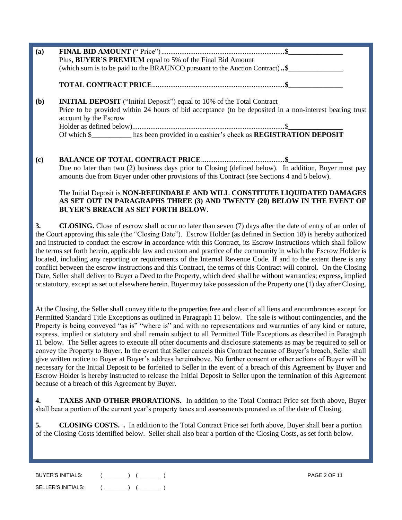| (a) | Plus, BUYER'S PREMIUM equal to 5% of the Final Bid Amount<br>(which sum is to be paid to the BRAUNCO pursuant to the Auction Contract)\$                                                                          |
|-----|-------------------------------------------------------------------------------------------------------------------------------------------------------------------------------------------------------------------|
|     |                                                                                                                                                                                                                   |
| (b) | <b>INITIAL DEPOSIT</b> ("Initial Deposit") equal to 10% of the Total Contract<br>Price to be provided within 24 hours of bid acceptance (to be deposited in a non-interest bearing trust<br>account by the Escrow |

Holder as defined below)....................................................................................\$**\_\_\_\_\_\_\_\_\_\_\_\_\_\_\_** Of which \$\_\_\_\_\_\_\_\_\_\_\_ has been provided in a cashier's check as **REGISTRATION DEPOSIT** 

**(c) BALANCE OF TOTAL CONTRACT PRICE**..............................................**\$\_\_\_\_\_\_\_\_\_\_\_\_\_\_\_** Due no later than two (2) business days prior to Closing (defined below). In addition, Buyer must pay amounts due from Buyer under other provisions of this Contract (see Sections 4 and 5 below).

### The Initial Deposit is **NON-REFUNDABLE AND WILL CONSTITUTE LIQUIDATED DAMAGES AS SET OUT IN PARAGRAPHS THREE (3) AND TWENTY (20) BELOW IN THE EVENT OF BUYER'S BREACH AS SET FORTH BELOW**.

**3. CLOSING.** Close of escrow shall occur no later than seven (7) days after the date of entry of an order of the Court approving this sale (the "Closing Date"). Escrow Holder (as defined in Section 18) is hereby authorized and instructed to conduct the escrow in accordance with this Contract, its Escrow Instructions which shall follow the terms set forth herein, applicable law and custom and practice of the community in which the Escrow Holder is located, including any reporting or requirements of the Internal Revenue Code. If and to the extent there is any conflict between the escrow instructions and this Contract, the terms of this Contract will control. On the Closing Date, Seller shall deliver to Buyer a Deed to the Property, which deed shall be without warranties; express, implied or statutory, except as set out elsewhere herein. Buyer may take possession of the Property one (1) day after Closing.

At the Closing, the Seller shall convey title to the properties free and clear of all liens and encumbrances except for Permitted Standard Title Exceptions as outlined in Paragraph 11 below. The sale is without contingencies, and the Property is being conveyed "as is" "where is" and with no representations and warranties of any kind or nature, express, implied or statutory and shall remain subject to all Permitted Title Exceptions as described in Paragraph 11 below. The Seller agrees to execute all other documents and disclosure statements as may be required to sell or convey the Property to Buyer. In the event that Seller cancels this Contract because of Buyer's breach, Seller shall give written notice to Buyer at Buyer's address hereinabove. No further consent or other actions of Buyer will be necessary for the Initial Deposit to be forfeited to Seller in the event of a breach of this Agreement by Buyer and Escrow Holder is hereby instructed to release the Initial Deposit to Seller upon the termination of this Agreement because of a breach of this Agreement by Buyer.

**4. TAXES AND OTHER PRORATIONS.** In addition to the Total Contract Price set forth above, Buyer shall bear a portion of the current year's property taxes and assessments prorated as of the date of Closing.

**5. CLOSING COSTS.** . In addition to the Total Contract Price set forth above, Buyer shall bear a portion of the Closing Costs identified below. Seller shall also bear a portion of the Closing Costs, as set forth below.

| BUYER'S INITIALS:  | <b>PAGE 2 OF 11</b> |
|--------------------|---------------------|
| SELLER'S INITIALS: |                     |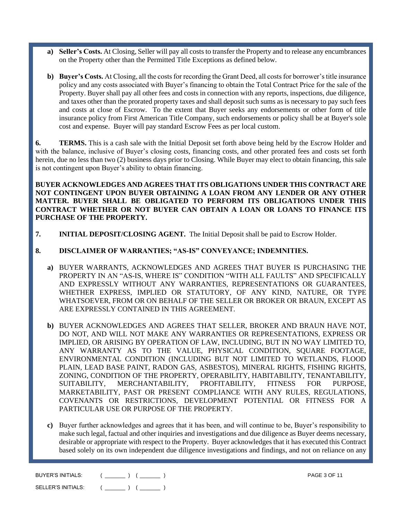- **a) Seller's Costs.** At Closing, Seller will pay all costs to transfer the Property and to release any encumbrances on the Property other than the Permitted Title Exceptions as defined below.
- **b) Buyer's Costs.** At Closing, all the costs for recording the Grant Deed, all costs for borrower's title insurance policy and any costs associated with Buyer's financing to obtain the Total Contract Price for the sale of the Property. Buyer shall pay all other fees and costs in connection with any reports, inspections, due diligence, and taxes other than the prorated property taxes and shall deposit such sums as is necessary to pay such fees and costs at close of Escrow. To the extent that Buyer seeks any endorsements or other form of title insurance policy from First American Title Company, such endorsements or policy shall be at Buyer's sole cost and expense. Buyer will pay standard Escrow Fees as per local custom.

**6. TERMS.** This is a cash sale with the Initial Deposit set forth above being held by the Escrow Holder and with the balance, inclusive of Buyer's closing costs, financing costs, and other prorated fees and costs set forth herein, due no less than two (2) business days prior to Closing. While Buyer may elect to obtain financing, this sale is not contingent upon Buyer's ability to obtain financing.

**BUYER ACKNOWLEDGES AND AGREES THAT ITS OBLIGATIONS UNDER THIS CONTRACT ARE NOT CONTINGENT UPON BUYER OBTAINING A LOAN FROM ANY LENDER OR ANY OTHER MATTER. BUYER SHALL BE OBLIGATED TO PERFORM ITS OBLIGATIONS UNDER THIS CONTRACT WHETHER OR NOT BUYER CAN OBTAIN A LOAN OR LOANS TO FINANCE ITS PURCHASE OF THE PROPERTY.**

**7. INITIAL DEPOSIT/CLOSING AGENT.** The Initial Deposit shall be paid to Escrow Holder.

#### **8. DISCLAIMER OF WARRANTIES; "AS-IS" CONVEYANCE; INDEMNITIES.**

- **a)** BUYER WARRANTS, ACKNOWLEDGES AND AGREES THAT BUYER IS PURCHASING THE PROPERTY IN AN "AS-IS, WHERE IS" CONDITION "WITH ALL FAULTS" AND SPECIFICALLY AND EXPRESSLY WITHOUT ANY WARRANTIES, REPRESENTATIONS OR GUARANTEES, WHETHER EXPRESS, IMPLIED OR STATUTORY, OF ANY KIND, NATURE, OR TYPE WHATSOEVER, FROM OR ON BEHALF OF THE SELLER OR BROKER OR BRAUN, EXCEPT AS ARE EXPRESSLY CONTAINED IN THIS AGREEMENT.
- **b)** BUYER ACKNOWLEDGES AND AGREES THAT SELLER, BROKER AND BRAUN HAVE NOT, DO NOT, AND WILL NOT MAKE ANY WARRANTIES OR REPRESENTATIONS, EXPRESS OR IMPLIED, OR ARISING BY OPERATION OF LAW, INCLUDING, BUT IN NO WAY LIMITED TO, ANY WARRANTY AS TO THE VALUE, PHYSICAL CONDITION, SQUARE FOOTAGE, ENVIRONMENTAL CONDITION (INCLUDING BUT NOT LIMITED TO WETLANDS, FLOOD PLAIN, LEAD BASE PAINT, RADON GAS, ASBESTOS), MINERAL RIGHTS, FISHING RIGHTS, ZONING, CONDITION OF THE PROPERTY, OPERABILITY, HABITABILITY, TENANTABILITY, SUITABILITY, MERCHANTABILITY, PROFITABILITY, FITNESS FOR PURPOSE, MARKETABILITY, PAST OR PRESENT COMPLIANCE WITH ANY RULES, REGULATIONS, COVENANTS OR RESTRICTIONS, DEVELOPMENT POTENTIAL OR FITNESS FOR A PARTICULAR USE OR PURPOSE OF THE PROPERTY.
- **c)** Buyer further acknowledges and agrees that it has been, and will continue to be, Buyer's responsibility to make such legal, factual and other inquiries and investigations and due diligence as Buyer deems necessary, desirable or appropriate with respect to the Property. Buyer acknowledges that it has executed this Contract based solely on its own independent due diligence investigations and findings, and not on reliance on any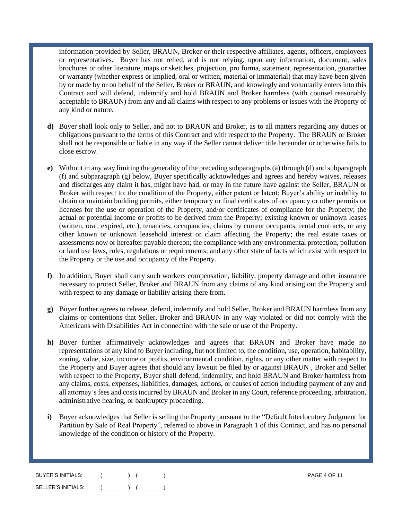information provided by Seller, BRAUN, Broker or their respective affiliates, agents, officers, employees or representatives. Buyer has not relied, and is not relying, upon any information, document, sales brochures or other literature, maps or sketches, projection, pro forma, statement, representation, guarantee or warranty (whether express or implied, oral or written, material or immaterial) that may have been given by or made by or on behalf of the Seller, Broker or BRAUN, and knowingly and voluntarily enters into this Contract and will defend, indemnify and hold BRAUN and Broker harmless (with counsel reasonably acceptable to BRAUN) from any and all claims with respect to any problems or issues with the Property of any kind or nature.

- **d)** Buyer shall look only to Seller, and not to BRAUN and Broker, as to all matters regarding any duties or obligations pursuant to the terms of this Contract and with respect to the Property. The BRAUN or Broker shall not be responsible or liable in any way if the Seller cannot deliver title hereunder or otherwise fails to close escrow.
- **e)** Without in any way limiting the generality of the preceding subparagraphs (a) through (d) and subparagraph (f) and subparagraph (g) below, Buyer specifically acknowledges and agrees and hereby waives, releases and discharges any claim it has, might have had, or may in the future have against the Seller, BRAUN or Broker with respect to: the condition of the Property, either patent or latent; Buyer's ability or inability to obtain or maintain building permits, either temporary or final certificates of occupancy or other permits or licenses for the use or operation of the Property, and/or certificates of compliance for the Property; the actual or potential income or profits to be derived from the Property; existing known or unknown leases (written, oral, expired, etc.), tenancies, occupancies, claims by current occupants, rental contracts, or any other known or unknown leasehold interest or claim affecting the Property; the real estate taxes or assessments now or hereafter payable thereon; the compliance with any environmental protection, pollution or land use laws, rules, regulations or requirements; and any other state of facts which exist with respect to the Property or the use and occupancy of the Property.
- **f)** In addition, Buyer shall carry such workers compensation, liability, property damage and other insurance necessary to protect Seller, Broker and BRAUN from any claims of any kind arising out the Property and with respect to any damage or liability arising there from.
- **g)** Buyer further agrees to release, defend, indemnify and hold Seller, Broker and BRAUN harmless from any claims or contentions that Seller, Broker and BRAUN in any way violated or did not comply with the Americans with Disabilities Act in connection with the sale or use of the Property.
- **h)** Buyer further affirmatively acknowledges and agrees that BRAUN and Broker have made no representations of any kind to Buyer including, but not limited to, the condition, use, operation, habitability, zoning, value, size, income or profits, environmental condition, rights, or any other matter with respect to the Property and Buyer agrees that should any lawsuit be filed by or against BRAUN , Broker and Seller with respect to the Property, Buyer shall defend, indemnify, and hold BRAUN and Broker harmless from any claims, costs, expenses, liabilities, damages, actions, or causes of action including payment of any and all attorney'sfees and costs incurred by BRAUN and Broker in any Court, reference proceeding, arbitration, administrative hearing, or bankruptcy proceeding.
- **i)** Buyer acknowledges that Seller is selling the Property pursuant to the "Default Interlocutory Judgment for Partition by Sale of Real Property", referred to above in Paragraph 1 of this Contract, and has no personal knowledge of the condition or history of the Property.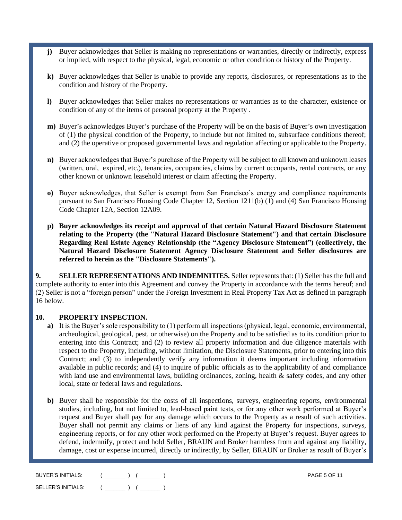- **j)** Buyer acknowledges that Seller is making no representations or warranties, directly or indirectly, express or implied, with respect to the physical, legal, economic or other condition or history of the Property.
- **k)** Buyer acknowledges that Seller is unable to provide any reports, disclosures, or representations as to the condition and history of the Property.
- **l)** Buyer acknowledges that Seller makes no representations or warranties as to the character, existence or condition of any of the items of personal property at the Property .
- **m)** Buyer's acknowledges Buyer's purchase of the Property will be on the basis of Buyer's own investigation of (1) the physical condition of the Property, to include but not limited to, subsurface conditions thereof; and (2) the operative or proposed governmental laws and regulation affecting or applicable to the Property.
- **n)** Buyer acknowledges that Buyer's purchase of the Property will be subject to all known and unknown leases (written, oral, expired, etc.), tenancies, occupancies, claims by current occupants, rental contracts, or any other known or unknown leasehold interest or claim affecting the Property.
- **o)** Buyer acknowledges, that Seller is exempt from San Francisco's energy and compliance requirements pursuant to San Francisco Housing Code Chapter 12, Section 1211(b) (1) and (4) San Francisco Housing Code Chapter 12A, Section 12A09.
- **p) Buyer acknowledges its receipt and approval of that certain Natural Hazard Disclosure Statement relating to the Property (the "Natural Hazard Disclosure Statement") and that certain Disclosure Regarding Real Estate Agency Relationship (the "Agency Disclosure Statement") (collectively, the Natural Hazard Disclosure Statement Agency Disclosure Statement and Seller disclosures are referred to herein as the "Disclosure Statements").**

**9. SELLER REPRESENTATIONS AND INDEMNITIES.** Seller represents that: (1) Seller has the full and complete authority to enter into this Agreement and convey the Property in accordance with the terms hereof; and (2) Seller is not a "foreign person" under the Foreign Investment in Real Property Tax Act as defined in paragraph 16 below.

#### **10. PROPERTY INSPECTION.**

- **a)** It is the Buyer's sole responsibility to (1) perform all inspections (physical, legal, economic, environmental, archeological, geological, pest, or otherwise) on the Property and to be satisfied as to its condition prior to entering into this Contract; and (2) to review all property information and due diligence materials with respect to the Property, including, without limitation, the Disclosure Statements, prior to entering into this Contract; and (3) to independently verify any information it deems important including information available in public records; and (4) to inquire of public officials as to the applicability of and compliance with land use and environmental laws, building ordinances, zoning, health & safety codes, and any other local, state or federal laws and regulations.
- **b)** Buyer shall be responsible for the costs of all inspections, surveys, engineering reports, environmental studies, including, but not limited to, lead-based paint tests, or for any other work performed at Buyer's request and Buyer shall pay for any damage which occurs to the Property as a result of such activities. Buyer shall not permit any claims or liens of any kind against the Property for inspections, surveys, engineering reports, or for any other work performed on the Property at Buyer's request. Buyer agrees to defend, indemnify, protect and hold Seller, BRAUN and Broker harmless from and against any liability, damage, cost or expense incurred, directly or indirectly, by Seller, BRAUN or Broker as result of Buyer's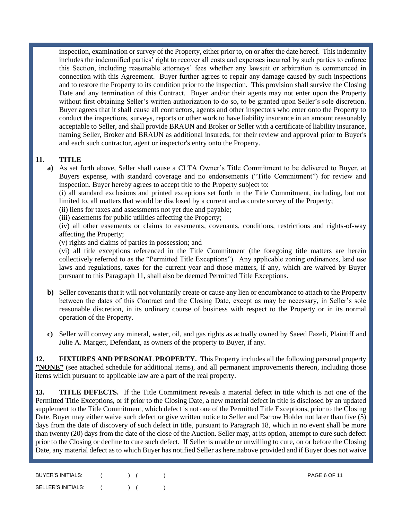inspection, examination or survey of the Property, either prior to, on or after the date hereof. This indemnity includes the indemnified parties' right to recover all costs and expenses incurred by such parties to enforce this Section, including reasonable attorneys' fees whether any lawsuit or arbitration is commenced in connection with this Agreement. Buyer further agrees to repair any damage caused by such inspections and to restore the Property to its condition prior to the inspection. This provision shall survive the Closing Date and any termination of this Contract. Buyer and/or their agents may not enter upon the Property without first obtaining Seller's written authorization to do so, to be granted upon Seller's sole discretion. Buyer agrees that it shall cause all contractors, agents and other inspectors who enter onto the Property to conduct the inspections, surveys, reports or other work to have liability insurance in an amount reasonably acceptable to Seller, and shall provide BRAUN and Broker or Seller with a certificate of liability insurance, naming Seller, Broker and BRAUN as additional insureds, for their review and approval prior to Buyer's and each such contractor, agent or inspector's entry onto the Property.

## **11. TITLE**

**a)** As set forth above, Seller shall cause a CLTA Owner's Title Commitment to be delivered to Buyer, at Buyers expense, with standard coverage and no endorsements ("Title Commitment") for review and inspection. Buyer hereby agrees to accept title to the Property subject to:

(i) all standard exclusions and printed exceptions set forth in the Title Commitment, including, but not limited to, all matters that would be disclosed by a current and accurate survey of the Property;

(ii) liens for taxes and assessments not yet due and payable;

(iii) easements for public utilities affecting the Property;

(iv) all other easements or claims to easements, covenants, conditions, restrictions and rights-of-way affecting the Property;

(v) rights and claims of parties in possession; and

(vi) all title exceptions referenced in the Title Commitment (the foregoing title matters are herein collectively referred to as the "Permitted Title Exceptions"). Any applicable zoning ordinances, land use laws and regulations, taxes for the current year and those matters, if any, which are waived by Buyer pursuant to this Paragraph 11, shall also be deemed Permitted Title Exceptions.

- **b)** Seller covenants that it will not voluntarily create or cause any lien or encumbrance to attach to the Property between the dates of this Contract and the Closing Date, except as may be necessary, in Seller's sole reasonable discretion, in its ordinary course of business with respect to the Property or in its normal operation of the Property.
- **c)** Seller will convey any mineral, water, oil, and gas rights as actually owned by Saeed Fazeli, Plaintiff and Julie A. Margett, Defendant, as owners of the property to Buyer, if any.

**12. FIXTURES AND PERSONAL PROPERTY.** This Property includes all the following personal property **"NONE"** (see attached schedule for additional items), and all permanent improvements thereon, including those items which pursuant to applicable law are a part of the real property.

**13. TITLE DEFECTS.** If the Title Commitment reveals a material defect in title which is not one of the Permitted Title Exceptions, or if prior to the Closing Date, a new material defect in title is disclosed by an updated supplement to the Title Commitment, which defect is not one of the Permitted Title Exceptions, prior to the Closing Date, Buyer may either waive such defect or give written notice to Seller and Escrow Holder not later than five (5) days from the date of discovery of such defect in title, pursuant to Paragraph 18, which in no event shall be more than twenty (20) days from the date of the close of the Auction. Seller may, at its option, attempt to cure such defect prior to the Closing or decline to cure such defect. If Seller is unable or unwilling to cure, on or before the Closing Date, any material defect as to which Buyer has notified Seller as hereinabove provided and if Buyer does not waive

| <b>BUYER'S INITIALS:</b> | <b>PAGE 6 OF 11</b> |
|--------------------------|---------------------|
| SELLER'S INITIALS:       |                     |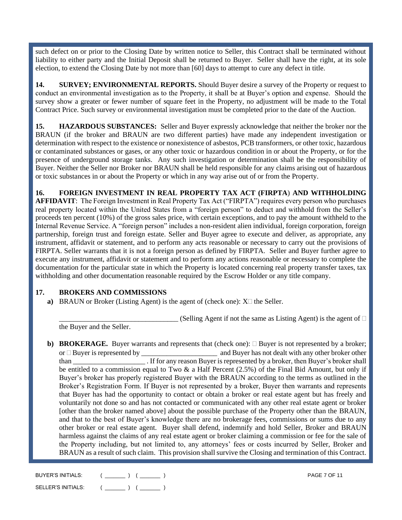such defect on or prior to the Closing Date by written notice to Seller, this Contract shall be terminated without liability to either party and the Initial Deposit shall be returned to Buyer. Seller shall have the right, at its sole election, to extend the Closing Date by not more than [60] days to attempt to cure any defect in title.

**14. SURVEY; ENVIRONMENTAL REPORTS.** Should Buyer desire a survey of the Property or request to conduct an environmental investigation as to the Property, it shall be at Buyer's option and expense. Should the survey show a greater or fewer number of square feet in the Property, no adjustment will be made to the Total Contract Price. Such survey or environmental investigation must be completed prior to the date of the Auction.

**15. HAZARDOUS SUBSTANCES:** Seller and Buyer expressly acknowledge that neither the broker nor the BRAUN (if the broker and BRAUN are two different parties) have made any independent investigation or determination with respect to the existence or nonexistence of asbestos, PCB transformers, or other toxic, hazardous or contaminated substances or gases, or any other toxic or hazardous condition in or about the Property, or for the presence of underground storage tanks. Any such investigation or determination shall be the responsibility of Buyer. Neither the Seller nor Broker nor BRAUN shall be held responsible for any claims arising out of hazardous or toxic substances in or about the Property or which in any way arise out of or from the Property.

**16. FOREIGN INVESTMENT IN REAL PROPERTY TAX ACT (FIRPTA**) **AND WITHHOLDING AFFIDAVIT**:The Foreign Investment in Real Property Tax Act ("FIRPTA") requires every person who purchases real property located within the United States from a "foreign person" to deduct and withhold from the Seller's proceeds ten percent (10%) of the gross sales price, with certain exceptions, and to pay the amount withheld to the Internal Revenue Service. A "foreign person" includes a non-resident alien individual, foreign corporation, foreign partnership, foreign trust and foreign estate. Seller and Buyer agree to execute and deliver, as appropriate, any instrument, affidavit or statement, and to perform any acts reasonable or necessary to carry out the provisions of FIRPTA. Seller warrants that it is not a foreign person as defined by FIRPTA. Seller and Buyer further agree to execute any instrument, affidavit or statement and to perform any actions reasonable or necessary to complete the documentation for the particular state in which the Property is located concerning real property transfer taxes, tax withholding and other documentation reasonable required by the Escrow Holder or any title company.

## **17. BROKERS AND COMMISSIONS**

**a)** BRAUN or Broker (Listing Agent) is the agent of (check one):  $X \Box$  the Seller.

 $\Box$  (Selling Agent if not the same as Listing Agent) is the agent of  $\Box$ the Buyer and the Seller.

**b) BROKERAGE.** Buyer warrants and represents that (check one):  $\Box$  Buyer is not represented by a broker; or Buyer is represented by \_\_\_\_\_\_\_\_\_\_\_\_\_\_\_\_\_\_\_\_\_ and Buyer has not dealt with any other broker other than \_\_\_\_\_\_\_\_\_\_\_\_\_\_\_\_\_\_\_\_ . If for any reason Buyer is represented by a broker, then Buyer's broker shall be entitled to a commission equal to Two  $\&$  a Half Percent (2.5%) of the Final Bid Amount, but only if Buyer's broker has properly registered Buyer with the BRAUN according to the terms as outlined in the Broker's Registration Form. If Buyer is not represented by a broker, Buyer then warrants and represents that Buyer has had the opportunity to contact or obtain a broker or real estate agent but has freely and voluntarily not done so and has not contacted or communicated with any other real estate agent or broker [other than the broker named above] about the possible purchase of the Property other than the BRAUN, and that to the best of Buyer's knowledge there are no brokerage fees, commissions or sums due to any other broker or real estate agent. Buyer shall defend, indemnify and hold Seller, Broker and BRAUN harmless against the claims of any real estate agent or broker claiming a commission or fee for the sale of the Property including, but not limited to, any attorneys' fees or costs incurred by Seller, Broker and BRAUN as a result of such claim. This provision shall survive the Closing and termination of this Contract.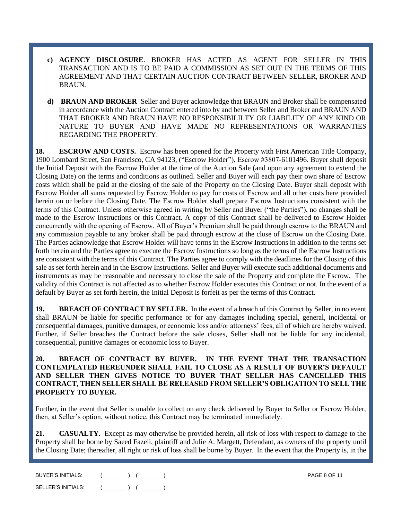- **c) AGENCY DISCLOSURE**. BROKER HAS ACTED AS AGENT FOR SELLER IN THIS TRANSACTION AND IS TO BE PAID A COMMISSION AS SET OUT IN THE TERMS OF THIS AGREEMENT AND THAT CERTAIN AUCTION CONTRACT BETWEEN SELLER, BROKER AND BRAUN.
- **d) BRAUN AND BROKER** Seller and Buyer acknowledge that BRAUN and Broker shall be compensated in accordance with the Auction Contract entered into by and between Seller and Broker and BRAUN AND THAT BROKER AND BRAUN HAVE NO RESPONSIBILILTY OR LIABILITY OF ANY KIND OR NATURE TO BUYER AND HAVE MADE NO REPRESENTATIONS OR WARRANTIES REGARDING THE PROPERTY.

**18. ESCROW AND COSTS.** Escrow has been opened for the Property with First American Title Company, 1900 Lombard Street, San Francisco, CA 94123, ("Escrow Holder"), Escrow #3807-6101496. Buyer shall deposit the Initial Deposit with the Escrow Holder at the time of the Auction Sale (and upon any agreement to extend the Closing Date) on the terms and conditions as outlined. Seller and Buyer will each pay their own share of Escrow costs which shall be paid at the closing of the sale of the Property on the Closing Date. Buyer shall deposit with Escrow Holder all sums requested by Escrow Holder to pay for costs of Escrow and all other costs here provided herein on or before the Closing Date. The Escrow Holder shall prepare Escrow Instructions consistent with the terms of this Contract. Unless otherwise agreed in writing by Seller and Buyer ("the Parties"), no changes shall be made to the Escrow Instructions or this Contract. A copy of this Contract shall be delivered to Escrow Holder concurrently with the opening of Escrow. All of Buyer's Premium shall be paid through escrow to the BRAUN and any commission payable to any broker shall be paid through escrow at the close of Escrow on the Closing Date. The Parties acknowledge that Escrow Holder will have terms in the Escrow Instructions in addition to the terms set forth herein and the Parties agree to execute the Escrow Instructions so long as the terms of the Escrow Instructions are consistent with the terms of this Contract. The Parties agree to comply with the deadlines for the Closing of this sale as set forth herein and in the Escrow Instructions. Seller and Buyer will execute such additional documents and instruments as may be reasonable and necessary to close the sale of the Property and complete the Escrow. The validity of this Contract is not affected as to whether Escrow Holder executes this Contract or not. In the event of a default by Buyer as set forth herein, the Initial Deposit is forfeit as per the terms of this Contract.

**19. BREACH OF CONTRACT BY SELLER.** In the event of a breach of this Contract by Seller, in no event shall BRAUN be liable for specific performance or for any damages including special, general, incidental or consequential damages, punitive damages, or economic loss and/or attorneys' fees, all of which are hereby waived. Further, if Seller breaches the Contract before the sale closes, Seller shall not be liable for any incidental, consequential, punitive damages or economic loss to Buyer.

**20. BREACH OF CONTRACT BY BUYER. IN THE EVENT THAT THE TRANSACTION CONTEMPLATED HEREUNDER SHALL FAIL TO CLOSE AS A RESULT OF BUYER'S DEFAULT AND SELLER THEN GIVES NOTICE TO BUYER THAT SELLER HAS CANCELLED THIS CONTRACT, THEN SELLER SHALL BE RELEASED FROM SELLER'S OBLIGATION TO SELL THE PROPERTY TO BUYER.** 

Further, in the event that Seller is unable to collect on any check delivered by Buyer to Seller or Escrow Holder, then, at Seller's option, without notice, this Contract may be terminated immediately.

**21. CASUALTY.** Except as may otherwise be provided herein, all risk of loss with respect to damage to the Property shall be borne by Saeed Fazeli, plaintiff and Julie A. Margett, Defendant, as owners of the property until the Closing Date; thereafter, all right or risk of loss shall be borne by Buyer. In the event that the Property is, in the

| BUYER'S INITIALS:  | <b>PAGE 8 OF 11</b> |
|--------------------|---------------------|
| SELLER'S INITIALS: |                     |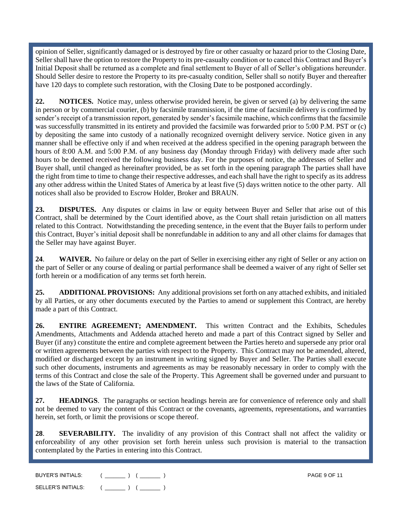opinion of Seller, significantly damaged or is destroyed by fire or other casualty or hazard prior to the Closing Date, Seller shall have the option to restore the Property to its pre-casualty condition or to cancel this Contract and Buyer's Initial Deposit shall be returned as a complete and final settlement to Buyer of all of Seller's obligations hereunder. Should Seller desire to restore the Property to its pre-casualty condition, Seller shall so notify Buyer and thereafter have 120 days to complete such restoration, with the Closing Date to be postponed accordingly.

**22. NOTICES.** Notice may, unless otherwise provided herein, be given or served (a) by delivering the same in person or by commercial courier, (b) by facsimile transmission, if the time of facsimile delivery is confirmed by sender's receipt of a transmission report, generated by sender's facsimile machine, which confirms that the facsimile was successfully transmitted in its entirety and provided the facsimile was forwarded prior to 5:00 P.M. PST or (c) by depositing the same into custody of a nationally recognized overnight delivery service. Notice given in any manner shall be effective only if and when received at the address specified in the opening paragraph between the hours of 8:00 A.M. and 5:00 P.M. of any business day (Monday through Friday) with delivery made after such hours to be deemed received the following business day. For the purposes of notice, the addresses of Seller and Buyer shall, until changed as hereinafter provided, be as set forth in the opening paragraph The parties shall have the right from time to time to change their respective addresses, and each shall have the right to specify as its address any other address within the United States of America by at least five (5) days written notice to the other party. All notices shall also be provided to Escrow Holder, Broker and BRAUN.

**23. DISPUTES.** Any disputes or claims in law or equity between Buyer and Seller that arise out of this Contract, shall be determined by the Court identified above, as the Court shall retain jurisdiction on all matters related to this Contract. Notwithstanding the preceding sentence, in the event that the Buyer fails to perform under this Contract, Buyer's initial deposit shall be nonrefundable in addition to any and all other claims for damages that the Seller may have against Buyer.

**24**. **WAIVER.** No failure or delay on the part of Seller in exercising either any right of Seller or any action on the part of Seller or any course of dealing or partial performance shall be deemed a waiver of any right of Seller set forth herein or a modification of any terms set forth herein.

**25. ADDITIONAL PROVISIONS:** Any additional provisions set forth on any attached exhibits, and initialed by all Parties, or any other documents executed by the Parties to amend or supplement this Contract, are hereby made a part of this Contract.

**26. ENTIRE AGREEMENT; AMENDMENT.** This written Contract and the Exhibits, Schedules Amendments, Attachments and Addenda attached hereto and made a part of this Contract signed by Seller and Buyer (if any) constitute the entire and complete agreement between the Parties hereto and supersede any prior oral or written agreements between the parties with respect to the Property. This Contract may not be amended, altered, modified or discharged except by an instrument in writing signed by Buyer and Seller. The Parties shall execute such other documents, instruments and agreements as may be reasonably necessary in order to comply with the terms of this Contract and close the sale of the Property. This Agreement shall be governed under and pursuant to the laws of the State of California.

**27. HEADINGS**. The paragraphs or section headings herein are for convenience of reference only and shall not be deemed to vary the content of this Contract or the covenants, agreements, representations, and warranties herein, set forth, or limit the provisions or scope thereof.

**28**. **SEVERABILITY.** The invalidity of any provision of this Contract shall not affect the validity or enforceability of any other provision set forth herein unless such provision is material to the transaction contemplated by the Parties in entering into this Contract.

| BUYER'S INITIALS:  | <b>PAGE 9 OF 11</b> |
|--------------------|---------------------|
| SELLER'S INITIALS: |                     |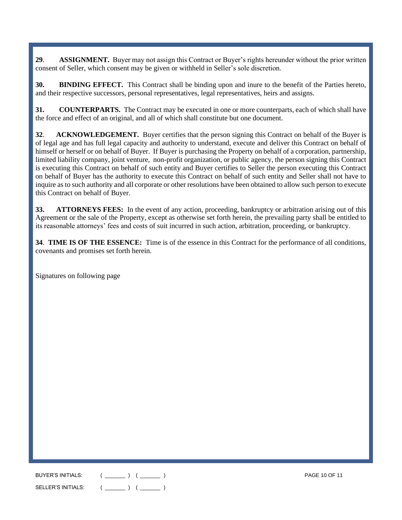**29**. **ASSIGNMENT.** Buyer may not assign this Contract or Buyer's rights hereunder without the prior written consent of Seller, which consent may be given or withheld in Seller's sole discretion.

**30. BINDING EFFECT.** This Contract shall be binding upon and inure to the benefit of the Parties hereto, and their respective successors, personal representatives, legal representatives, heirs and assigns.

**31. COUNTERPARTS.** The Contract may be executed in one or more counterparts, each of which shall have the force and effect of an original, and all of which shall constitute but one document.

**32**. **ACKNOWLEDGEMENT.** Buyer certifies that the person signing this Contract on behalf of the Buyer is of legal age and has full legal capacity and authority to understand, execute and deliver this Contract on behalf of himself or herself or on behalf of Buyer. If Buyer is purchasing the Property on behalf of a corporation, partnership, limited liability company, joint venture, non-profit organization, or public agency, the person signing this Contract is executing this Contract on behalf of such entity and Buyer certifies to Seller the person executing this Contract on behalf of Buyer has the authority to execute this Contract on behalf of such entity and Seller shall not have to inquire as to such authority and all corporate or other resolutions have been obtained to allow such person to execute this Contract on behalf of Buyer.

**33. ATTORNEYS FEES:** In the event of any action, proceeding, bankruptcy or arbitration arising out of this Agreement or the sale of the Property, except as otherwise set forth herein, the prevailing party shall be entitled to its reasonable attorneys' fees and costs of suit incurred in such action, arbitration, proceeding, or bankruptcy.

**34**. **TIME IS OF THE ESSENCE:** Time is of the essence in this Contract for the performance of all conditions, covenants and promises set forth herein.

Signatures on following page

BUYER'S INITIALS: ( \_\_\_\_\_\_\_ ) ( \_\_\_\_\_\_\_ ) PAGE 10 OF 11 SELLER'S INITIALS:  $($  \_\_\_\_\_\_\_  $)$   $($  \_\_\_\_\_\_  $)$